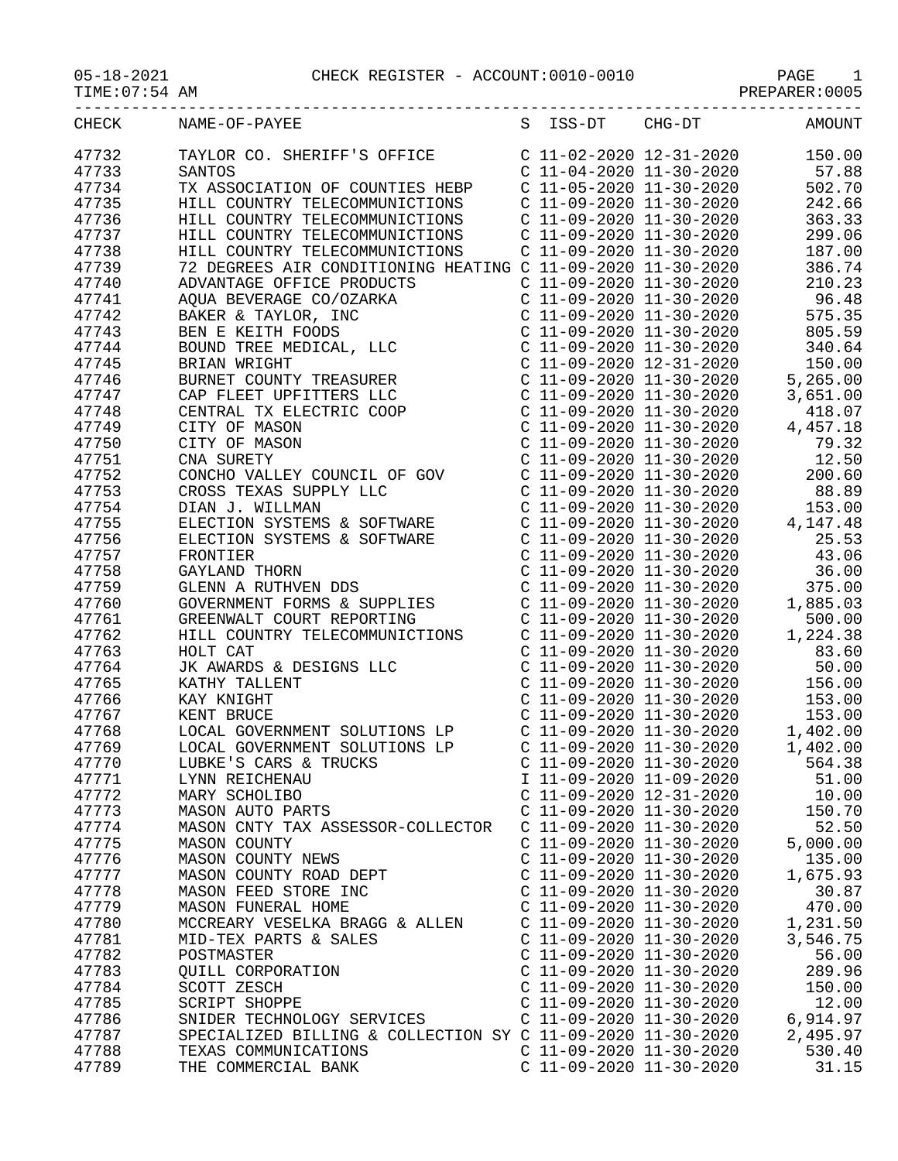## 05-18-2021 CHECK REGISTER - ACCOUNT:0010-0010 PAGE 1

| TIME U/ 54 AM |
|---------------|
|---------------|

| TIME:07:54 AM | PREPARER: 0005 |
|---------------|----------------|
|---------------|----------------|

| CHECK          | NAME-OF-PAYEE                                                                                                                                                                                                                                             |                           | S ISS-DT CHG-DT AMOUNT                                                                                                                                                                                                                                                                                        |          |
|----------------|-----------------------------------------------------------------------------------------------------------------------------------------------------------------------------------------------------------------------------------------------------------|---------------------------|---------------------------------------------------------------------------------------------------------------------------------------------------------------------------------------------------------------------------------------------------------------------------------------------------------------|----------|
| 47732          |                                                                                                                                                                                                                                                           |                           |                                                                                                                                                                                                                                                                                                               |          |
| 47733          |                                                                                                                                                                                                                                                           |                           |                                                                                                                                                                                                                                                                                                               |          |
| 47734          | TAYLOR CO. SHERIFF'S OFFICE<br>C 11-02-2020 12-31-2020 13-30-2020 150.00<br>C 11-04-2020 11-30-2020 57.88<br>TX ASSOCIATION OF COUNTIES HEBP C 11-05-2020 11-30-2020 502.70<br>TX ASSOCIATION OF COUNTIES HEBP                                            |                           |                                                                                                                                                                                                                                                                                                               |          |
| 47735          | HILL COUNTRY TELECOMMUNICTIONS                                                                                                                                                                                                                            |                           | $C$ 11-09-2020 11-30-2020 242.66                                                                                                                                                                                                                                                                              |          |
| 47736          | HILL COUNTRY TELECOMMUNICTIONS                                                                                                                                                                                                                            |                           | C 11-09-2020 11-30-2020 363.33                                                                                                                                                                                                                                                                                |          |
| 47737          |                                                                                                                                                                                                                                                           |                           |                                                                                                                                                                                                                                                                                                               | 299.06   |
|                | HILL COUNTRY TELECOMMUNICTIONS                                                                                                                                                                                                                            |                           | C 11-09-2020 11-30-2020                                                                                                                                                                                                                                                                                       |          |
| 47738<br>47739 | HILL COUNTRY TELECOMMUNICTIONS<br>72 DEGREES AIR CONDITIONING HEATING C 11-09-2020 11-30-2020<br>386.74                                                                                                                                                   |                           |                                                                                                                                                                                                                                                                                                               |          |
|                |                                                                                                                                                                                                                                                           |                           | $C$ 11-09-2020 11-30-2020 210.23                                                                                                                                                                                                                                                                              |          |
| 47740          |                                                                                                                                                                                                                                                           |                           |                                                                                                                                                                                                                                                                                                               |          |
| 47741          |                                                                                                                                                                                                                                                           |                           |                                                                                                                                                                                                                                                                                                               |          |
| 47742          |                                                                                                                                                                                                                                                           |                           |                                                                                                                                                                                                                                                                                                               |          |
| 47743          |                                                                                                                                                                                                                                                           |                           |                                                                                                                                                                                                                                                                                                               |          |
| 47744          |                                                                                                                                                                                                                                                           |                           |                                                                                                                                                                                                                                                                                                               |          |
| 47745          |                                                                                                                                                                                                                                                           |                           |                                                                                                                                                                                                                                                                                                               |          |
| 47746          |                                                                                                                                                                                                                                                           |                           |                                                                                                                                                                                                                                                                                                               |          |
| 47747          |                                                                                                                                                                                                                                                           |                           |                                                                                                                                                                                                                                                                                                               |          |
| 47748          |                                                                                                                                                                                                                                                           |                           |                                                                                                                                                                                                                                                                                                               |          |
| 47749          |                                                                                                                                                                                                                                                           |                           |                                                                                                                                                                                                                                                                                                               |          |
| 47750          |                                                                                                                                                                                                                                                           |                           |                                                                                                                                                                                                                                                                                                               |          |
| 47751          |                                                                                                                                                                                                                                                           |                           |                                                                                                                                                                                                                                                                                                               |          |
| 47752          | CONCHO VALLEY COUNCIL OF GOV<br>CROSS TEXAS SUPPLY LLC<br>DIAN J. WILLMAN                                                                                                                                                                                 |                           | $C$ 11-09-2020 11-30-2020 200.60                                                                                                                                                                                                                                                                              |          |
| 47753          |                                                                                                                                                                                                                                                           |                           | C $11-09-2020$ $11-30-2020$ 88.89                                                                                                                                                                                                                                                                             |          |
| 47754          |                                                                                                                                                                                                                                                           |                           |                                                                                                                                                                                                                                                                                                               |          |
| 47755          | DIAN J. WILLMAN<br>ELECTION SYSTEMS & SOFTWARE<br>ELECTION SYSTEMS & SOFTWARE<br>ELECTION SYSTEMS & SOFTWARE<br>FRONTIER<br>GAYLAND THORN<br>GLENN A RUTHVEN DDS<br>GOVERNMENT FORMS & SUPPLIES<br>GREENWALT COURT REPORTING<br>HILL COUNTRY TELECOMMUNIC |                           | $\left( \begin{array}{ccc} \text{C} & 11\text{--}09\text{--}2020 & 11\text{--}30\text{--}2020 & 153.00 \\ \text{C} & 11\text{--}09\text{--}2020 & 11\text{--}30\text{--}2020 & 4\text{,}147.48 \\ \text{C} & 11\text{--}09\text{--}2020 & 11\text{--}30\text{--}2020 & 25.53 \\ \end{array} \right)$          |          |
| 47756          |                                                                                                                                                                                                                                                           |                           |                                                                                                                                                                                                                                                                                                               |          |
| 47757          |                                                                                                                                                                                                                                                           |                           | $C$ 11-09-2020 11-30-2020 43.06                                                                                                                                                                                                                                                                               |          |
| 47758          |                                                                                                                                                                                                                                                           |                           | $C$ 11-09-2020 11-30-2020 36.00                                                                                                                                                                                                                                                                               |          |
| 47759          |                                                                                                                                                                                                                                                           |                           | $\left( \begin{array}{ccc} \mathtt{C} & 11\texttt{-}09\texttt{-}2020 & 11\texttt{-}30\texttt{-}2020 & 375.00 \\ \mathtt{C} & 11\texttt{-}09\texttt{-}2020 & 11\texttt{-}30\texttt{-}2020 & 1,885.03 \\ \mathtt{C} & 11\texttt{-}09\texttt{-}2020 & 11\texttt{-}30\texttt{-}2020 & 500.00 \end{array} \right)$ |          |
| 47760          |                                                                                                                                                                                                                                                           |                           |                                                                                                                                                                                                                                                                                                               |          |
| 47761          |                                                                                                                                                                                                                                                           |                           |                                                                                                                                                                                                                                                                                                               |          |
| 47762          |                                                                                                                                                                                                                                                           |                           | $C$ 11-09-2020 11-30-2020 1,224.38                                                                                                                                                                                                                                                                            |          |
| 47763          | THE CAT CAT THE SECTION OF THE CATALOGY<br>STATE CARRIER CONSIDER THE RAY KNIGHT<br>KENT BRUCE<br>LOCAL GOVERNMENT SOLUTIONS<br>LOCAL GOVERNMENT SOLUTIONS                                                                                                |                           | $C$ 11-09-2020 11-30-2020                                                                                                                                                                                                                                                                                     | 83.60    |
| 47764          |                                                                                                                                                                                                                                                           |                           | C $11-09-2020$ $11-30-2020$ 50.00                                                                                                                                                                                                                                                                             |          |
| 47765          | XATHY TALLENT<br>XAY KNIGHT C 11-09-2020 11-30-2020<br>XAY KNIGHT C 11-09-2020 11-30-2020 153.00<br>XENT BRUCE C 11-09-2020 11-30-2020 153.00<br>LOCAL GOVERNMENT SOLUTIONS LP C 11-09-2020 11-30-2020 1,402.00                                           |                           |                                                                                                                                                                                                                                                                                                               |          |
| 47766          |                                                                                                                                                                                                                                                           |                           |                                                                                                                                                                                                                                                                                                               |          |
| 47767          |                                                                                                                                                                                                                                                           |                           |                                                                                                                                                                                                                                                                                                               |          |
| 47768          |                                                                                                                                                                                                                                                           |                           |                                                                                                                                                                                                                                                                                                               |          |
| 47769          | LOCAL GOVERNMENT SOLUTIONS LP                                                                                                                                                                                                                             |                           | $C$ 11-09-2020 11-30-2020 1,402.00                                                                                                                                                                                                                                                                            |          |
| 4'/7/0         | LUBKE'S CARS & TRUCKS                                                                                                                                                                                                                                     |                           | $C$ 11-09-2020 11-30-2020                                                                                                                                                                                                                                                                                     | 564.38   |
| 47771          | LYNN REICHENAU                                                                                                                                                                                                                                            | I 11-09-2020 11-09-2020   |                                                                                                                                                                                                                                                                                                               | 51.00    |
| 47772          | MARY SCHOLIBO                                                                                                                                                                                                                                             | C 11-09-2020 12-31-2020   |                                                                                                                                                                                                                                                                                                               | 10.00    |
| 47773          | MASON AUTO PARTS                                                                                                                                                                                                                                          | $C$ 11-09-2020 11-30-2020 |                                                                                                                                                                                                                                                                                                               | 150.70   |
| 47774          | MASON CNTY TAX ASSESSOR-COLLECTOR                                                                                                                                                                                                                         | $C$ 11-09-2020 11-30-2020 |                                                                                                                                                                                                                                                                                                               | 52.50    |
| 47775          | <b>MASON COUNTY</b>                                                                                                                                                                                                                                       | $C$ 11-09-2020 11-30-2020 |                                                                                                                                                                                                                                                                                                               | 5,000.00 |
| 47776          | MASON COUNTY NEWS                                                                                                                                                                                                                                         | C 11-09-2020 11-30-2020   |                                                                                                                                                                                                                                                                                                               | 135.00   |
| 47777          | MASON COUNTY ROAD DEPT                                                                                                                                                                                                                                    | C 11-09-2020 11-30-2020   |                                                                                                                                                                                                                                                                                                               | 1,675.93 |
| 47778          | MASON FEED STORE INC                                                                                                                                                                                                                                      | C 11-09-2020 11-30-2020   |                                                                                                                                                                                                                                                                                                               | 30.87    |
| 47779          | MASON FUNERAL HOME                                                                                                                                                                                                                                        | $C$ 11-09-2020 11-30-2020 |                                                                                                                                                                                                                                                                                                               | 470.00   |
| 47780          | MCCREARY VESELKA BRAGG & ALLEN                                                                                                                                                                                                                            | $C$ 11-09-2020 11-30-2020 |                                                                                                                                                                                                                                                                                                               | 1,231.50 |
| 47781          | MID-TEX PARTS & SALES                                                                                                                                                                                                                                     | $C$ 11-09-2020 11-30-2020 |                                                                                                                                                                                                                                                                                                               | 3,546.75 |
| 47782          | POSTMASTER                                                                                                                                                                                                                                                | $C$ 11-09-2020 11-30-2020 |                                                                                                                                                                                                                                                                                                               | 56.00    |
| 47783          | QUILL CORPORATION                                                                                                                                                                                                                                         | C 11-09-2020 11-30-2020   |                                                                                                                                                                                                                                                                                                               | 289.96   |
| 47784          |                                                                                                                                                                                                                                                           | $C$ 11-09-2020 11-30-2020 |                                                                                                                                                                                                                                                                                                               | 150.00   |
| 47785          | SCOTT ZESCH<br><b>SCRIPT SHOPPE</b>                                                                                                                                                                                                                       | C 11-09-2020 11-30-2020   |                                                                                                                                                                                                                                                                                                               | 12.00    |
|                | SNIDER TECHNOLOGY SERVICES                                                                                                                                                                                                                                | $C$ 11-09-2020 11-30-2020 |                                                                                                                                                                                                                                                                                                               |          |
| 47786          |                                                                                                                                                                                                                                                           |                           |                                                                                                                                                                                                                                                                                                               | 6,914.97 |
| 47787          | SPECIALIZED BILLING & COLLECTION SY C 11-09-2020 11-30-2020                                                                                                                                                                                               |                           |                                                                                                                                                                                                                                                                                                               | 2,495.97 |
| 47788          | TEXAS COMMUNICATIONS                                                                                                                                                                                                                                      | $C$ 11-09-2020 11-30-2020 |                                                                                                                                                                                                                                                                                                               | 530.40   |
| 47789          | THE COMMERCIAL BANK                                                                                                                                                                                                                                       | C 11-09-2020 11-30-2020   |                                                                                                                                                                                                                                                                                                               | 31.15    |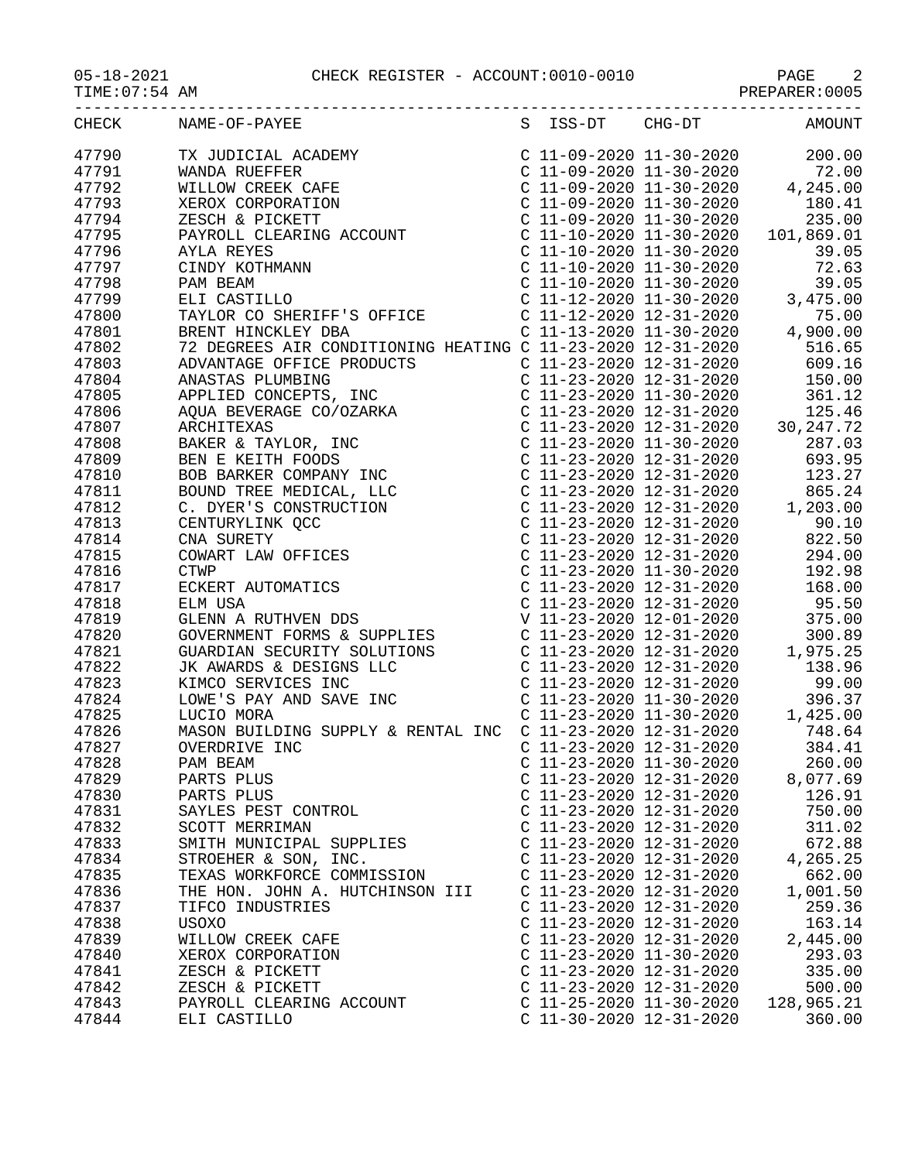## 05-18-2021 CHECK REGISTER - ACCOUNT:0010-0010 PAGE 2

PREPARER:0005

|       | CHECK NAME-OF-PAYEE             |                           | S ISS-DT CHG-DT AMOUNT |
|-------|---------------------------------|---------------------------|------------------------|
| 47790 |                                 |                           |                        |
| 47791 |                                 |                           |                        |
| 47792 |                                 |                           |                        |
| 47793 |                                 |                           |                        |
| 47794 |                                 |                           |                        |
| 47795 |                                 |                           |                        |
| 47796 |                                 |                           |                        |
| 47797 |                                 |                           |                        |
| 47798 |                                 |                           |                        |
| 47799 |                                 |                           |                        |
| 47800 |                                 |                           |                        |
| 47801 |                                 |                           |                        |
| 47802 |                                 |                           |                        |
| 47803 |                                 |                           |                        |
| 47804 |                                 |                           |                        |
| 47805 |                                 |                           |                        |
| 47806 |                                 |                           |                        |
| 47807 |                                 |                           |                        |
| 47808 |                                 |                           |                        |
| 47809 |                                 |                           |                        |
| 47810 |                                 |                           |                        |
| 47811 |                                 |                           |                        |
| 47812 |                                 |                           |                        |
| 47813 |                                 |                           |                        |
| 47814 |                                 |                           |                        |
| 47815 |                                 |                           |                        |
| 47816 |                                 |                           |                        |
| 47817 |                                 |                           |                        |
| 47818 |                                 |                           |                        |
| 47819 |                                 |                           |                        |
| 47820 |                                 |                           |                        |
| 47821 |                                 |                           |                        |
| 47822 |                                 |                           |                        |
| 47823 |                                 |                           |                        |
| 47824 |                                 |                           |                        |
| 47825 |                                 |                           |                        |
| 47826 |                                 |                           |                        |
| 47827 |                                 |                           |                        |
| 47828 | PAM BEAM                        | $C$ 11-23-2020 11-30-2020 | 260.00                 |
| 47829 | PARTS PLUS                      | C 11-23-2020 12-31-2020   | 8,077.69               |
| 47830 | PARTS PLUS                      | C 11-23-2020 12-31-2020   | 126.91                 |
| 47831 | SAYLES PEST CONTROL             | $C$ 11-23-2020 12-31-2020 | 750.00                 |
| 47832 | SCOTT MERRIMAN                  | C 11-23-2020 12-31-2020   | 311.02                 |
| 47833 | SMITH MUNICIPAL SUPPLIES        | $C$ 11-23-2020 12-31-2020 | 672.88                 |
| 47834 | STROEHER & SON, INC.            | $C$ 11-23-2020 12-31-2020 | 4,265.25               |
| 47835 | TEXAS WORKFORCE COMMISSION      | $C$ 11-23-2020 12-31-2020 | 662.00                 |
| 47836 | THE HON. JOHN A. HUTCHINSON III | $C$ 11-23-2020 12-31-2020 | 1,001.50               |
| 47837 | TIFCO INDUSTRIES                | C 11-23-2020 12-31-2020   | 259.36                 |
| 47838 | <b>USOXO</b>                    | C 11-23-2020 12-31-2020   | 163.14                 |
| 47839 | WILLOW CREEK CAFE               | $C$ 11-23-2020 12-31-2020 | 2,445.00               |
| 47840 | XEROX CORPORATION               | $C$ 11-23-2020 11-30-2020 | 293.03                 |
| 47841 | ZESCH & PICKETT                 | $C$ 11-23-2020 12-31-2020 | 335.00                 |
| 47842 | ZESCH & PICKETT                 | $C$ 11-23-2020 12-31-2020 | 500.00                 |
| 47843 | PAYROLL CLEARING ACCOUNT        | C 11-25-2020 11-30-2020   | 128,965.21             |
| 47844 | ELI CASTILLO                    | C 11-30-2020 12-31-2020   | 360.00                 |